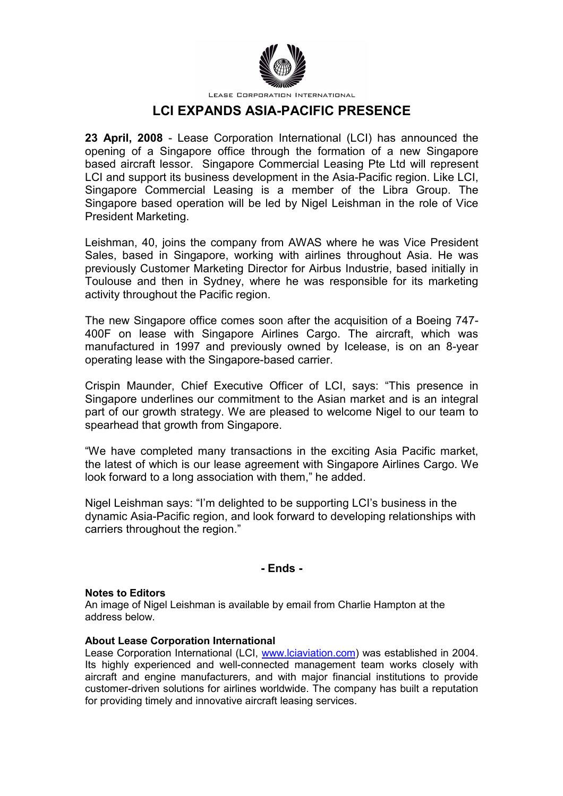

LEASE CORPORATION INTERNATIONAL

# **LCI EXPANDS ASIA-PACIFIC PRESENCE**

**23 April, 2008** - Lease Corporation International (LCI) has announced the opening of a Singapore office through the formation of a new Singapore based aircraft lessor. Singapore Commercial Leasing Pte Ltd will represent LCI and support its business development in the Asia-Pacific region. Like LCI, Singapore Commercial Leasing is a member of the Libra Group. The Singapore based operation will be led by Nigel Leishman in the role of Vice President Marketing.

Leishman, 40, joins the company from AWAS where he was Vice President Sales, based in Singapore, working with airlines throughout Asia. He was previously Customer Marketing Director for Airbus Industrie, based initially in Toulouse and then in Sydney, where he was responsible for its marketing activity throughout the Pacific region.

The new Singapore office comes soon after the acquisition of a Boeing 747- 400F on lease with Singapore Airlines Cargo. The aircraft, which was manufactured in 1997 and previously owned by Icelease, is on an 8-year operating lease with the Singapore-based carrier.

Crispin Maunder, Chief Executive Officer of LCI, says: "This presence in Singapore underlines our commitment to the Asian market and is an integral part of our growth strategy. We are pleased to welcome Nigel to our team to spearhead that growth from Singapore.

"We have completed many transactions in the exciting Asia Pacific market, the latest of which is our lease agreement with Singapore Airlines Cargo. We look forward to a long association with them," he added.

Nigel Leishman says: "I'm delighted to be supporting LCI's business in the dynamic Asia-Pacific region, and look forward to developing relationships with carriers throughout the region."

## **- Ends -**

#### **Notes to Editors**

An image of Nigel Leishman is available by email from Charlie Hampton at the address below.

### **About Lease Corporation International**

Lease Corporation International (LCI, www.lciaviation.com) was established in 2004. Its highly experienced and well-connected management team works closely with aircraft and engine manufacturers, and with major financial institutions to provide customer-driven solutions for airlines worldwide. The company has built a reputation for providing timely and innovative aircraft leasing services.